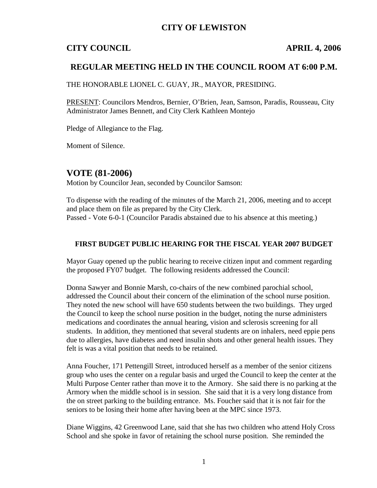## **CITY OF LEWISTON**

# **CITY COUNCIL APRIL 4, 2006**

## **REGULAR MEETING HELD IN THE COUNCIL ROOM AT 6:00 P.M.**

THE HONORABLE LIONEL C. GUAY, JR., MAYOR, PRESIDING.

PRESENT: Councilors Mendros, Bernier, O'Brien, Jean, Samson, Paradis, Rousseau, City Administrator James Bennett, and City Clerk Kathleen Montejo

Pledge of Allegiance to the Flag.

Moment of Silence.

## **VOTE (81-2006)**

Motion by Councilor Jean, seconded by Councilor Samson:

To dispense with the reading of the minutes of the March 21, 2006, meeting and to accept and place them on file as prepared by the City Clerk. Passed - Vote 6-0-1 (Councilor Paradis abstained due to his absence at this meeting.)

#### **FIRST BUDGET PUBLIC HEARING FOR THE FISCAL YEAR 2007 BUDGET**

Mayor Guay opened up the public hearing to receive citizen input and comment regarding the proposed FY07 budget. The following residents addressed the Council:

Donna Sawyer and Bonnie Marsh, co-chairs of the new combined parochial school, addressed the Council about their concern of the elimination of the school nurse position. They noted the new school will have 650 students between the two buildings. They urged the Council to keep the school nurse position in the budget, noting the nurse administers medications and coordinates the annual hearing, vision and sclerosis screening for all students. In addition, they mentioned that several students are on inhalers, need eppie pens due to allergies, have diabetes and need insulin shots and other general health issues. They felt is was a vital position that needs to be retained.

Anna Foucher, 171 Pettengill Street, introduced herself as a member of the senior citizens group who uses the center on a regular basis and urged the Council to keep the center at the Multi Purpose Center rather than move it to the Armory. She said there is no parking at the Armory when the middle school is in session. She said that it is a very long distance from the on street parking to the building entrance. Ms. Foucher said that it is not fair for the seniors to be losing their home after having been at the MPC since 1973.

Diane Wiggins, 42 Greenwood Lane, said that she has two children who attend Holy Cross School and she spoke in favor of retaining the school nurse position. She reminded the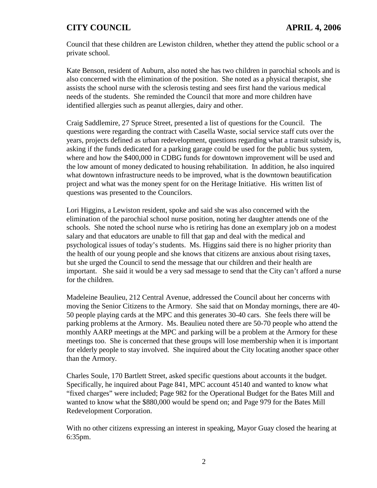Council that these children are Lewiston children, whether they attend the public school or a private school.

Kate Benson, resident of Auburn, also noted she has two children in parochial schools and is also concerned with the elimination of the position. She noted as a physical therapist, she assists the school nurse with the sclerosis testing and sees first hand the various medical needs of the students. She reminded the Council that more and more children have identified allergies such as peanut allergies, dairy and other.

Craig Saddlemire, 27 Spruce Street, presented a list of questions for the Council. The questions were regarding the contract with Casella Waste, social service staff cuts over the years, projects defined as urban redevelopment, questions regarding what a transit subsidy is, asking if the funds dedicated for a parking garage could be used for the public bus system, where and how the \$400,000 in CDBG funds for downtown improvement will be used and the low amount of money dedicated to housing rehabilitation. In addition, he also inquired what downtown infrastructure needs to be improved, what is the downtown beautification project and what was the money spent for on the Heritage Initiative. His written list of questions was presented to the Councilors.

Lori Higgins, a Lewiston resident, spoke and said she was also concerned with the elimination of the parochial school nurse position, noting her daughter attends one of the schools. She noted the school nurse who is retiring has done an exemplary job on a modest salary and that educators are unable to fill that gap and deal with the medical and psychological issues of today's students. Ms. Higgins said there is no higher priority than the health of our young people and she knows that citizens are anxious about rising taxes, but she urged the Council to send the message that our children and their health are important. She said it would be a very sad message to send that the City can't afford a nurse for the children.

Madeleine Beaulieu, 212 Central Avenue, addressed the Council about her concerns with moving the Senior Citizens to the Armory. She said that on Monday mornings, there are 40- 50 people playing cards at the MPC and this generates 30-40 cars. She feels there will be parking problems at the Armory. Ms. Beaulieu noted there are 50-70 people who attend the monthly AARP meetings at the MPC and parking will be a problem at the Armory for these meetings too. She is concerned that these groups will lose membership when it is important for elderly people to stay involved. She inquired about the City locating another space other than the Armory.

Charles Soule, 170 Bartlett Street, asked specific questions about accounts it the budget. Specifically, he inquired about Page 841, MPC account 45140 and wanted to know what "fixed charges" were included; Page 982 for the Operational Budget for the Bates Mill and wanted to know what the \$880,000 would be spend on; and Page 979 for the Bates Mill Redevelopment Corporation.

With no other citizens expressing an interest in speaking, Mayor Guay closed the hearing at 6:35pm.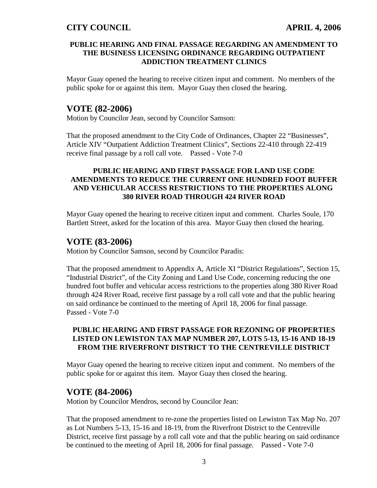#### **PUBLIC HEARING AND FINAL PASSAGE REGARDING AN AMENDMENT TO THE BUSINESS LICENSING ORDINANCE REGARDING OUTPATIENT ADDICTION TREATMENT CLINICS**

Mayor Guay opened the hearing to receive citizen input and comment. No members of the public spoke for or against this item. Mayor Guay then closed the hearing.

## **VOTE (82-2006)**

Motion by Councilor Jean, second by Councilor Samson:

That the proposed amendment to the City Code of Ordinances, Chapter 22 "Businesses", Article XIV "Outpatient Addiction Treatment Clinics", Sections 22-410 through 22-419 receive final passage by a roll call vote. Passed - Vote 7-0

#### **PUBLIC HEARING AND FIRST PASSAGE FOR LAND USE CODE AMENDMENTS TO REDUCE THE CURRENT ONE HUNDRED FOOT BUFFER AND VEHICULAR ACCESS RESTRICTIONS TO THE PROPERTIES ALONG 380 RIVER ROAD THROUGH 424 RIVER ROAD**

Mayor Guay opened the hearing to receive citizen input and comment. Charles Soule, 170 Bartlett Street, asked for the location of this area. Mayor Guay then closed the hearing.

## **VOTE (83-2006)**

Motion by Councilor Samson, second by Councilor Paradis:

That the proposed amendment to Appendix A, Article XI "District Regulations", Section 15, "Industrial District", of the City Zoning and Land Use Code, concerning reducing the one hundred foot buffer and vehicular access restrictions to the properties along 380 River Road through 424 River Road, receive first passage by a roll call vote and that the public hearing on said ordinance be continued to the meeting of April 18, 2006 for final passage. Passed - Vote 7-0

#### **PUBLIC HEARING AND FIRST PASSAGE FOR REZONING OF PROPERTIES LISTED ON LEWISTON TAX MAP NUMBER 207, LOTS 5-13, 15-16 AND 18-19 FROM THE RIVERFRONT DISTRICT TO THE CENTREVILLE DISTRICT**

Mayor Guay opened the hearing to receive citizen input and comment. No members of the public spoke for or against this item. Mayor Guay then closed the hearing.

### **VOTE (84-2006)**

Motion by Councilor Mendros, second by Councilor Jean:

That the proposed amendment to re-zone the properties listed on Lewiston Tax Map No. 207 as Lot Numbers 5-13, 15-16 and 18-19, from the Riverfront District to the Centreville District, receive first passage by a roll call vote and that the public hearing on said ordinance be continued to the meeting of April 18, 2006 for final passage. Passed - Vote 7-0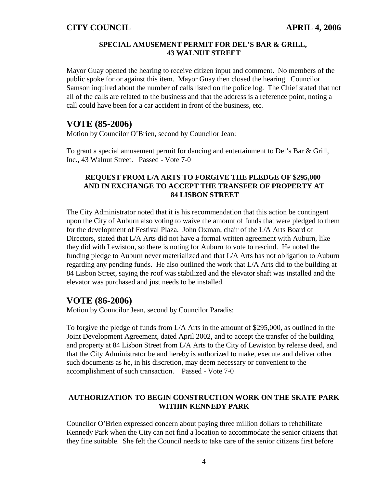#### **SPECIAL AMUSEMENT PERMIT FOR DEL'S BAR & GRILL, 43 WALNUT STREET**

Mayor Guay opened the hearing to receive citizen input and comment. No members of the public spoke for or against this item. Mayor Guay then closed the hearing. Councilor Samson inquired about the number of calls listed on the police log. The Chief stated that not all of the calls are related to the business and that the address is a reference point, noting a call could have been for a car accident in front of the business, etc.

### **VOTE (85-2006)**

Motion by Councilor O'Brien, second by Councilor Jean:

To grant a special amusement permit for dancing and entertainment to Del's Bar & Grill, Inc., 43 Walnut Street. Passed - Vote 7-0

#### **REQUEST FROM L/A ARTS TO FORGIVE THE PLEDGE OF \$295,000 AND IN EXCHANGE TO ACCEPT THE TRANSFER OF PROPERTY AT 84 LISBON STREET**

The City Administrator noted that it is his recommendation that this action be contingent upon the City of Auburn also voting to waive the amount of funds that were pledged to them for the development of Festival Plaza. John Oxman, chair of the L/A Arts Board of Directors, stated that L/A Arts did not have a formal written agreement with Auburn, like they did with Lewiston, so there is noting for Auburn to vote to rescind. He noted the funding pledge to Auburn never materialized and that L/A Arts has not obligation to Auburn regarding any pending funds. He also outlined the work that L/A Arts did to the building at 84 Lisbon Street, saying the roof was stabilized and the elevator shaft was installed and the elevator was purchased and just needs to be installed.

## **VOTE (86-2006)**

Motion by Councilor Jean, second by Councilor Paradis:

To forgive the pledge of funds from L/A Arts in the amount of \$295,000, as outlined in the Joint Development Agreement, dated April 2002, and to accept the transfer of the building and property at 84 Lisbon Street from L/A Arts to the City of Lewiston by release deed, and that the City Administrator be and hereby is authorized to make, execute and deliver other such documents as he, in his discretion, may deem necessary or convenient to the accomplishment of such transaction. Passed - Vote 7-0

## **AUTHORIZATION TO BEGIN CONSTRUCTION WORK ON THE SKATE PARK WITHIN KENNEDY PARK**

Councilor O'Brien expressed concern about paying three million dollars to rehabilitate Kennedy Park when the City can not find a location to accommodate the senior citizens that they fine suitable. She felt the Council needs to take care of the senior citizens first before